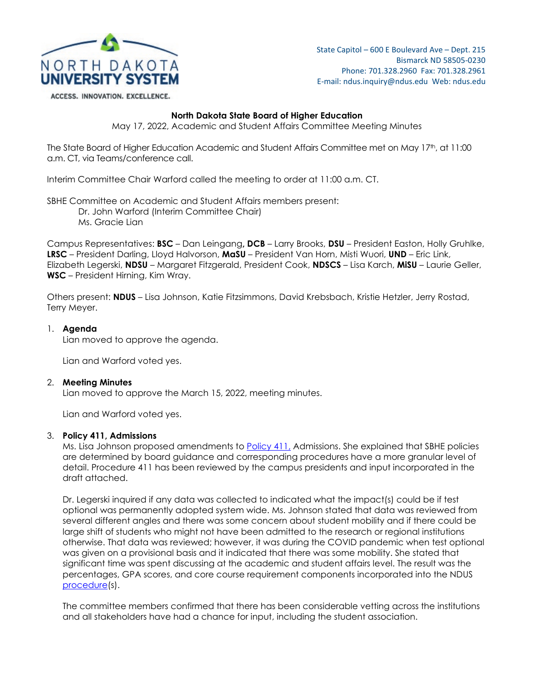

State Capitol – 600 E Boulevard Ave – Dept. 215 Bismarck ND 58505-0230 Phone: 701.328.2960 Fax: 701.328.2961 E-mail: ndus.inquiry@ndus.edu Web: ndus.edu

ACCESS. INNOVATION. EXCELLENCE.

### **North Dakota State Board of Higher Education**

May 17, 2022, Academic and Student Affairs Committee Meeting Minutes

The State Board of Higher Education Academic and Student Affairs Committee met on May 17th, at 11:00 a.m. CT, via Teams/conference call.

Interim Committee Chair Warford called the meeting to order at 11:00 a.m. CT.

SBHE Committee on Academic and Student Affairs members present: Dr. John Warford (Interim Committee Chair) Ms. Gracie Lian

Campus Representatives: **BSC** – Dan Leingang**, DCB** – Larry Brooks, **DSU** – President Easton, Holly Gruhlke, **LRSC** – President Darling, Lloyd Halvorson, **MaSU** – President Van Horn, Misti Wuori, **UND** – Eric Link, Elizabeth Legerski, **NDSU** – Margaret Fitzgerald, President Cook, **NDSCS** – Lisa Karch, **MiSU** – Laurie Geller, **WSC** – President Hirning, Kim Wray.

Others present: **NDUS** – Lisa Johnson, Katie Fitzsimmons, David Krebsbach, Kristie Hetzler, Jerry Rostad, Terry Meyer.

## 1. **Agenda**

Lian moved to approve the agenda.

Lian and Warford voted yes.

### 2. **Meeting Minutes**

Lian moved to approve the March 15, 2022, meeting minutes.

Lian and Warford voted yes.

### 3. **Policy 411, Admissions**

Ms. Lisa Johnson proposed amendments to [Policy 411,](https://ndusbpos.sharepoint.com/:b:/s/NDUSSBHE/EWjXHpQRPl9Mm6EClCAOvAwBBH4dU9nwHNYY08qe1wY2lg?e=mDddIh) Admissions. She explained that SBHE policies are determined by board guidance and corresponding procedures have a more granular level of detail. Procedure 411 has been reviewed by the campus presidents and input incorporated in the draft attached.

Dr. Legerski inquired if any data was collected to indicated what the impact(s) could be if test optional was permanently adopted system wide. Ms. Johnson stated that data was reviewed from several different angles and there was some concern about student mobility and if there could be large shift of students who might not have been admitted to the research or regional institutions otherwise. That data was reviewed; however, it was during the COVID pandemic when test optional was given on a provisional basis and it indicated that there was some mobility. She stated that significant time was spent discussing at the academic and student affairs level. The result was the percentages, GPA scores, and core course requirement components incorporated into the NDUS [procedure\(](https://ndusbpos.sharepoint.com/:w:/s/NDUSSBHE/Eajj-po-TCVGmqNVZDLWJYcBnOeFcs7VI_apzDYo1mBAMA?e=8561gJ)s).

The committee members confirmed that there has been considerable vetting across the institutions and all stakeholders have had a chance for input, including the student association.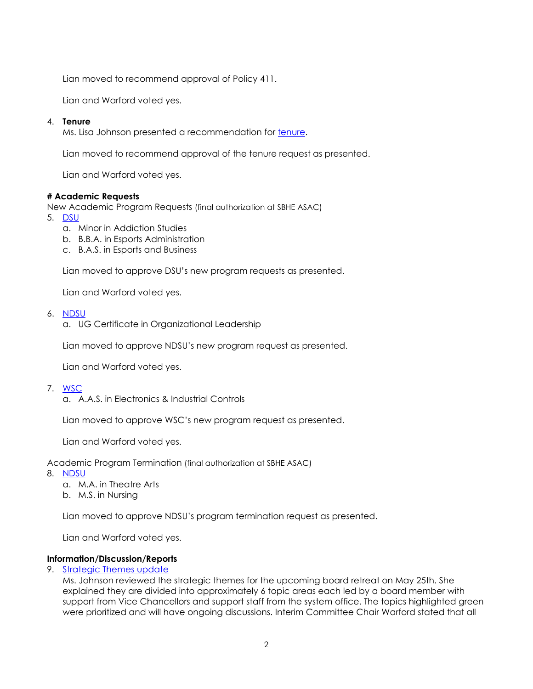Lian moved to recommend approval of Policy 411.

Lian and Warford voted yes.

# 4. **Tenure**

Ms. Lisa Johnson presented a recommendation for [tenure.](https://ndusbpos.sharepoint.com/:b:/s/NDUSSBHE/EQXt7ctolldKiVM8MkPBAFIBp8k3djfIxa6tPz50W9V5Qg?e=tAhiqY)

Lian moved to recommend approval of the tenure request as presented.

Lian and Warford voted yes.

## **# Academic Requests**

New Academic Program Requests (final authorization at SBHE ASAC)

- 5. [DSU](https://ndusbpos.sharepoint.com/:b:/s/NDUSSBHE/EYHDS0smZk9PiKwdmZg2F78BHBgsXQY8mU7q-B5zWc4JeA?e=qucLM6)
	- a. Minor in Addiction Studies
	- b. B.B.A. in Esports Administration
	- c. B.A.S. in Esports and Business

Lian moved to approve DSU's new program requests as presented.

Lian and Warford voted yes.

- 6. [NDSU](https://ndusbpos.sharepoint.com/:b:/s/NDUSSBHE/EWaRhrt2nzhHpSL1yFC3jNIB5QrL-K9lZSOTaTGiBINBQQ?e=lSXwXn)
	- a. UG Certificate in Organizational Leadership

Lian moved to approve NDSU's new program request as presented.

Lian and Warford voted yes.

## 7. [WSC](https://ndusbpos.sharepoint.com/:b:/s/NDUSSBHE/EYTC8NLwRWpAtUIV_bXyZ8QBHQSVZDrfjhCxPo9CDONONQ?e=y8eecN)

a. A.A.S. in Electronics & Industrial Controls

Lian moved to approve WSC's new program request as presented.

Lian and Warford voted yes.

Academic Program Termination (final authorization at SBHE ASAC)

- 8. [NDSU](https://ndusbpos.sharepoint.com/:b:/s/NDUSSBHE/EZRAFtl7-jxEnTid5x4lYpcBUIXdaVe_b4iQ3BfZ9prFnw?e=H7SwG4)
	- a. M.A. in Theatre Arts
	- b. M.S. in Nursing

Lian moved to approve NDSU's program termination request as presented.

Lian and Warford voted yes.

## **Information/Discussion/Reports**

9. [Strategic Themes update](https://ndusbpos.sharepoint.com/:w:/s/NDUSSBHE/EaAiUcR7TRlFqql3HAAn9-EB1YBeXnLiN-SDsYMaK1rD_A?e=oJLiSX)

Ms. Johnson reviewed the strategic themes for the upcoming board retreat on May 25th. She explained they are divided into approximately 6 topic areas each led by a board member with support from Vice Chancellors and support staff from the system office. The topics highlighted green were prioritized and will have ongoing discussions. Interim Committee Chair Warford stated that all